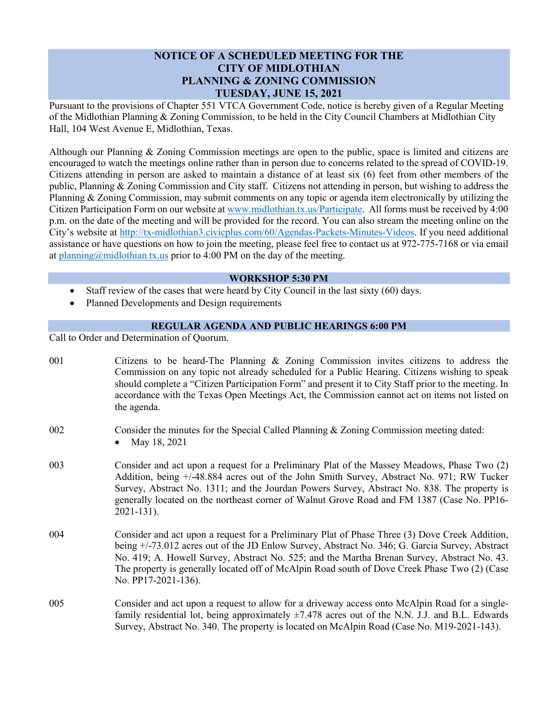## **NOTICE OF A SCHEDULED MEETING FOR THE CITY OF MIDLOTHIAN PLANNING & ZONING COMMISSION TUESDAY, JUNE 15, 2021**

Pursuant to the provisions of Chapter 551 VTCA Government Code, notice is hereby given of a Regular Meeting of the Midlothian Planning & Zoning Commission, to be held in the City Council Chambers at Midlothian City Hall, 104 West Avenue E, Midlothian, Texas.

Although our Planning & Zoning Commission meetings are open to the public, space is limited and citizens are encouraged to watch the meetings online rather than in person due to concerns related to the spread of COVID-19. Citizens attending in person are asked to maintain a distance of at least six (6) feet from other members of the public, Planning & Zoning Commission and City staff. Citizens not attending in person, but wishing to address the Planning & Zoning Commission, may submit comments on any topic or agenda item electronically by utilizing the Citizen Participation Form on our website a[t www.midlothian.tx.us/Participate.](http://www.midlothian.tx.us/Participate) All forms must be received by 4:00 p.m. on the date of the meeting and will be provided for the record. You can also stream the meeting online on the City's website at [http://tx-midlothian3.civicplus.com/60/Agendas-Packets-Minutes-Videos.](http://tx-midlothian3.civicplus.com/60/Agendas-Packets-Minutes-Videos) If you need additional assistance or have questions on how to join the meeting, please feel free to contact us at 972-775-7168 or via email at [planning@midlothian.tx.us](mailto:planning@midlothian.tx.us) prior to 4:00 PM on the day of the meeting.

## **WORKSHOP 5:30 PM**

- Staff review of the cases that were heard by City Council in the last sixty (60) days.
- Planned Developments and Design requirements

## **REGULAR AGENDA AND PUBLIC HEARINGS 6:00 PM**

Call to Order and Determination of Quorum.

- 001 Citizens to be heard-The Planning & Zoning Commission invites citizens to address the Commission on any topic not already scheduled for a Public Hearing. Citizens wishing to speak should complete a "Citizen Participation Form" and present it to City Staff prior to the meeting. In accordance with the Texas Open Meetings Act, the Commission cannot act on items not listed on the agenda.
- 002 Consider the minutes for the Special Called Planning & Zoning Commission meeting dated:
	- May 18, 2021
- 003 Consider and act upon a request for a Preliminary Plat of the Massey Meadows, Phase Two (2) Addition, being +/-48.884 acres out of the John Smith Survey, Abstract No. 971; RW Tucker Survey, Abstract No. 1311; and the Jourdan Powers Survey, Abstract No. 838. The property is generally located on the northeast corner of Walnut Grove Road and FM 1387 (Case No. PP16- 2021-131).
- 004 Consider and act upon a request for a Preliminary Plat of Phase Three (3) Dove Creek Addition, being +/-73.012 acres out of the JD Enlow Survey, Abstract No. 346; G. Garcia Survey, Abstract No. 419; A. Howell Survey, Abstract No. 525; and the Martha Brenan Survey, Abstract No. 43. The property is generally located off of McAlpin Road south of Dove Creek Phase Two (2) (Case No. PP17-2021-136).
- 005 Consider and act upon a request to allow for a driveway access onto McAlpin Road for a singlefamily residential lot, being approximately  $\pm$ 7.478 acres out of the N.N. J.J. and B.L. Edwards Survey, Abstract No. 340. The property is located on McAlpin Road (Case No. M19-2021-143).